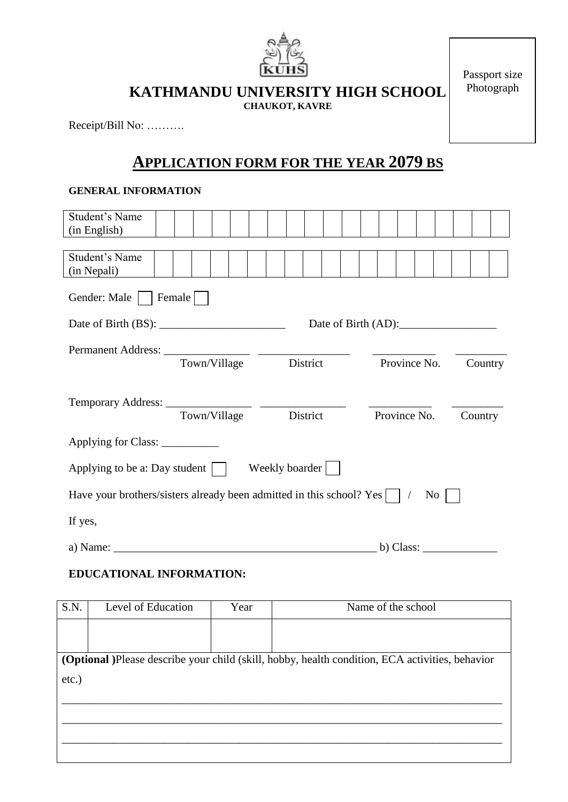

Passport size Photograph

**KATHMANDU UNIVERSITY HIGH SCHOOL**

**CHAUKOT, KAVRE**

Receipt/Bill No: ……….

### **APPLICATION FORM FOR THE YEAR 2079 BS**

#### **GENERAL INFORMATION**

| Student's Name                                                       |              |                |                           |         |
|----------------------------------------------------------------------|--------------|----------------|---------------------------|---------|
| (in English)                                                         |              |                |                           |         |
|                                                                      |              |                |                           |         |
| Student's Name                                                       |              |                |                           |         |
| (in Nepali)                                                          |              |                |                           |         |
| Gender: Male                                                         | Female       |                |                           |         |
|                                                                      |              |                | Date of Birth $(AD)$ :    |         |
|                                                                      |              |                |                           |         |
|                                                                      |              |                |                           |         |
|                                                                      | Town/Village | District       | Province No.              | Country |
| Temporary Address: _________________                                 | Town/Village | District       | Province No.              | Country |
| Applying for Class: _____________                                    |              |                |                           |         |
| Applying to be a: Day student $\vert \ \vert$                        |              | Weekly boarder |                           |         |
| Have your brothers/sisters already been admitted in this school? Yes |              |                | $\rm No$                  |         |
| If yes,                                                              |              |                |                           |         |
| a) Name: $\qquad \qquad$                                             |              |                | b) Class: $\qquad \qquad$ |         |

#### **EDUCATIONAL INFORMATION:**

| S.N.                                                                                            | Level of Education | Year | Name of the school |  |
|-------------------------------------------------------------------------------------------------|--------------------|------|--------------------|--|
|                                                                                                 |                    |      |                    |  |
|                                                                                                 |                    |      |                    |  |
| (Optional )Please describe your child (skill, hobby, health condition, ECA activities, behavior |                    |      |                    |  |
| etc.)                                                                                           |                    |      |                    |  |
|                                                                                                 |                    |      |                    |  |
|                                                                                                 |                    |      |                    |  |
|                                                                                                 |                    |      |                    |  |
|                                                                                                 |                    |      |                    |  |

 $\mathcal{L} = \{ \mathcal{L} = \{ \mathcal{L} = \mathcal{L} \} \cup \{ \mathcal{L} = \{ \mathcal{L} = \mathcal{L} \} \cup \{ \mathcal{L} = \{ \mathcal{L} = \mathcal{L} \} \cup \{ \mathcal{L} = \{ \mathcal{L} = \mathcal{L} \} \cup \{ \mathcal{L} = \{ \mathcal{L} = \mathcal{L} \} \cup \{ \mathcal{L} = \{ \mathcal{L} = \mathcal{L} \} \cup \{ \mathcal{L} = \{ \mathcal{L} = \mathcal{L} \} \cup \{ \mathcal{L} = \{ \mathcal{L}$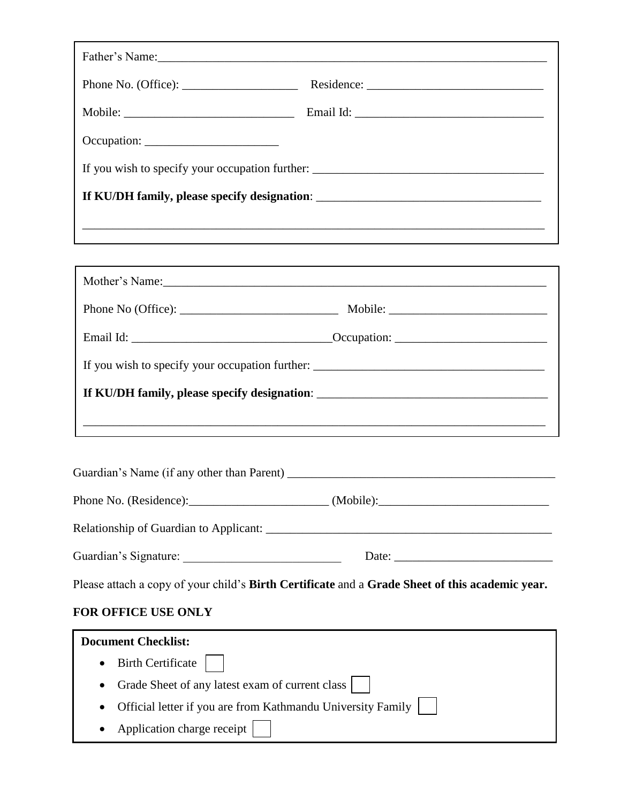|                                            | If KU/DH family, please specify designation: ___________________________________                                                                                                                                                                                                                                                                                                                              |  |
|--------------------------------------------|---------------------------------------------------------------------------------------------------------------------------------------------------------------------------------------------------------------------------------------------------------------------------------------------------------------------------------------------------------------------------------------------------------------|--|
|                                            |                                                                                                                                                                                                                                                                                                                                                                                                               |  |
|                                            |                                                                                                                                                                                                                                                                                                                                                                                                               |  |
|                                            | Mother's Name:                                                                                                                                                                                                                                                                                                                                                                                                |  |
|                                            |                                                                                                                                                                                                                                                                                                                                                                                                               |  |
|                                            |                                                                                                                                                                                                                                                                                                                                                                                                               |  |
|                                            |                                                                                                                                                                                                                                                                                                                                                                                                               |  |
|                                            |                                                                                                                                                                                                                                                                                                                                                                                                               |  |
|                                            |                                                                                                                                                                                                                                                                                                                                                                                                               |  |
|                                            |                                                                                                                                                                                                                                                                                                                                                                                                               |  |
| Guardian's Name (if any other than Parent) |                                                                                                                                                                                                                                                                                                                                                                                                               |  |
|                                            |                                                                                                                                                                                                                                                                                                                                                                                                               |  |
|                                            |                                                                                                                                                                                                                                                                                                                                                                                                               |  |
|                                            | Date: $\frac{1}{\sqrt{1-\frac{1}{2}}\sqrt{1-\frac{1}{2}}\sqrt{1-\frac{1}{2}}\sqrt{1-\frac{1}{2}}\sqrt{1-\frac{1}{2}}\sqrt{1-\frac{1}{2}}\sqrt{1-\frac{1}{2}}\sqrt{1-\frac{1}{2}}\sqrt{1-\frac{1}{2}}\sqrt{1-\frac{1}{2}}\sqrt{1-\frac{1}{2}}\sqrt{1-\frac{1}{2}}\sqrt{1-\frac{1}{2}}\sqrt{1-\frac{1}{2}}\sqrt{1-\frac{1}{2}}\sqrt{1-\frac{1}{2}}\sqrt{1-\frac{1}{2}}\sqrt{1-\frac{1}{2}}\sqrt{1-\frac{1}{2}}$ |  |
|                                            |                                                                                                                                                                                                                                                                                                                                                                                                               |  |
|                                            | Please attach a copy of your child's Birth Certificate and a Grade Sheet of this academic year.                                                                                                                                                                                                                                                                                                               |  |

|  | • Birth Certificate $\vert \vert$                             |  |
|--|---------------------------------------------------------------|--|
|  | • Grade Sheet of any latest exam of current class             |  |
|  | • Official letter if you are from Kathmandu University Family |  |
|  | • Application charge receipt                                  |  |